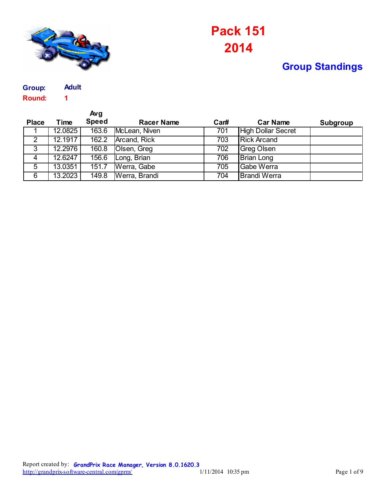

## **2014 Pack 151**

## **Group Standings**

**Round: 1 Group: Adult**

|                |         | Avg          |                   |      |                           |                 |
|----------------|---------|--------------|-------------------|------|---------------------------|-----------------|
| <b>Place</b>   | Time    | <b>Speed</b> | <b>Racer Name</b> | Car# | <b>Car Name</b>           | <b>Subgroup</b> |
|                | 12.0825 | 163.6        | McLean, Niven     | 701  | <b>High Dollar Secret</b> |                 |
| $\overline{2}$ | 12.1917 | 162.2        | Arcand, Rick      | 703  | <b>Rick Arcand</b>        |                 |
| $\overline{3}$ | 12.2976 | 160.8        | Olsen, Greg       | 702  | <b>Greg Olsen</b>         |                 |
| 4              | 12.6247 | 156.6        | Long, Brian       | 706  | <b>Brian Long</b>         |                 |
| $\overline{5}$ | 13.0351 | 151.7        | Werra, Gabe       | 705  | Gabe Werra                |                 |
| 6              | 13.2023 | 149.8        | Werra, Brandi     | 704  | <b>Brandi Werra</b>       |                 |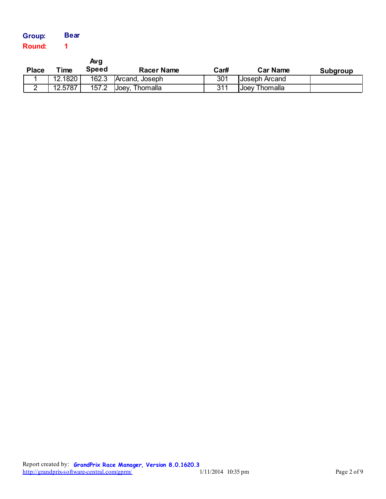| Group: | <b>Bear</b> |
|--------|-------------|
| Round: |             |

| <b>Place</b> | Time    | Avg<br><b>Speed</b> | <b>Racer Name</b> | Car# | <b>Car Name</b> | Subgroup |
|--------------|---------|---------------------|-------------------|------|-----------------|----------|
|              | 12.1820 | 162.3               | Arcand, Joseph    | 301  | Joseph Arcand   |          |
|              | 12.5787 | 157.2               | Joey, Thomalla    | 311  | Joey Thomalla   |          |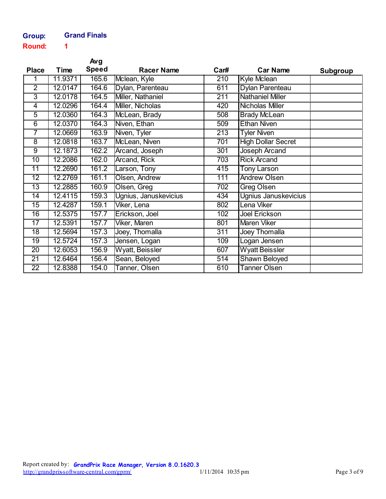## **Group: Grand Finals**

**Round: 1**

|                 |         | Avg          |                       |                  |                           |                 |
|-----------------|---------|--------------|-----------------------|------------------|---------------------------|-----------------|
| <b>Place</b>    | Time    | <b>Speed</b> | <b>Racer Name</b>     | Car#             | <b>Car Name</b>           | <b>Subgroup</b> |
| 1               | 11.9371 | 165.6        | Mclean, Kyle          | 210              | Kyle Mclean               |                 |
| $\overline{2}$  | 12.0147 | 164.6        | Dylan, Parenteau      | 611              | <b>Dylan Parenteau</b>    |                 |
| $\overline{3}$  | 12.0178 | 164.5        | Miller, Nathaniel     | $\overline{211}$ | <b>Nathaniel Miller</b>   |                 |
| $\overline{4}$  | 12.0296 | 164.4        | Miller, Nicholas      | 420              | <b>Nicholas Miller</b>    |                 |
| $\overline{5}$  | 12.0360 | 164.3        | McLean, Brady         | 508              | <b>Brady McLean</b>       |                 |
| $\overline{6}$  | 12.0370 | 164.3        | Niven, Ethan          | 509              | <b>Ethan Niven</b>        |                 |
| $\overline{7}$  | 12.0669 | 163.9        | Niven, Tyler          | 213              | <b>Tyler Niven</b>        |                 |
| $\overline{8}$  | 12.0818 | 163.7        | McLean, Niven         | 701              | <b>High Dollar Secret</b> |                 |
| $\overline{9}$  | 12.1873 | 162.2        | Arcand, Joseph        | 301              | Joseph Arcand             |                 |
| $\overline{10}$ | 12.2086 | 162.0        | <b>Arcand, Rick</b>   | 703              | <b>Rick Arcand</b>        |                 |
| $\overline{11}$ | 12.2690 | 161.2        | Larson, Tony          | 415              | <b>Tony Larson</b>        |                 |
| $\overline{12}$ | 12.2769 | 161.1        | <b>Olsen, Andrew</b>  | 111              | <b>Andrew Olsen</b>       |                 |
| $\overline{13}$ | 12.2885 | 160.9        | Olsen, Greg           | $\overline{702}$ | <b>Greg Olsen</b>         |                 |
| $\overline{14}$ | 12.4115 | 159.3        | Ugnius, Januskevicius | 434              | Ugnius Januskevicius      |                 |
| $\overline{15}$ | 12.4287 | 159.1        | Viker, Lena           | 802              | Lena Viker                |                 |
| $\overline{16}$ | 12.5375 | 157.7        | Erickson, Joel        | 102              | <b>Joel Erickson</b>      |                 |
| $\overline{17}$ | 12.5391 | 157.7        | Viker, Maren          | 801              | <b>Maren Viker</b>        |                 |
| 18              | 12.5694 | 157.3        | Joey, Thomalla        | 311              | <b>Joey Thomalla</b>      |                 |
| 19              | 12.5724 | 157.3        | Jensen, Logan         | 109              | Logan Jensen              |                 |
| 20              | 12.6053 | 156.9        | Wyatt, Beissler       | 607              | <b>Wyatt Beissler</b>     |                 |
| 21              | 12.6464 | 156.4        | Sean, Beloyed         | 514              | <b>Shawn Beloyed</b>      |                 |
| $\overline{22}$ | 12.8388 | 154.0        | Tanner, Olsen         | 610              | <b>Tanner Olsen</b>       |                 |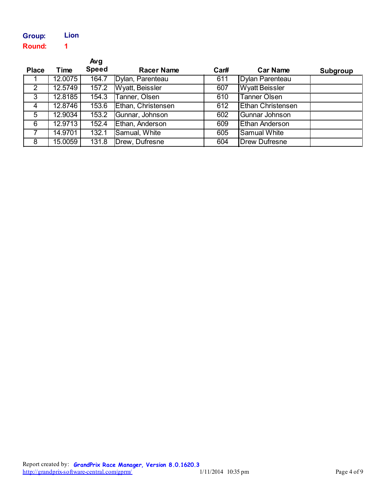| <b>Group:</b> | Lion |
|---------------|------|
| <b>Round:</b> | 1    |

|                |         | Avg          |                    |      |                          |          |
|----------------|---------|--------------|--------------------|------|--------------------------|----------|
| <b>Place</b>   | Time    | <b>Speed</b> | <b>Racer Name</b>  | Car# | <b>Car Name</b>          | Subgroup |
|                | 12.0075 | 164.7        | Dylan, Parenteau   | 611  | Dylan Parenteau          |          |
| $\overline{2}$ | 12.5749 | 157.2        | Wyatt, Beissler    | 607  | <b>Wyatt Beissler</b>    |          |
| $\overline{3}$ | 12.8185 | 154.3        | Tanner, Olsen      | 610  | <b>Tanner Olsen</b>      |          |
| 4              | 12.8746 | 153.6        | Ethan, Christensen | 612  | <b>Ethan Christensen</b> |          |
| $\overline{5}$ | 12.9034 | 153.2        | Gunnar, Johnson    | 602  | Gunnar Johnson           |          |
| 6              | 12.9713 | 152.4        | Ethan, Anderson    | 609  | Ethan Anderson           |          |
| $\overline{7}$ | 14.9701 | 132.1        | Samual, White      | 605  | <b>Samual White</b>      |          |
| 8              | 15.0059 | 131.8        | Drew, Dufresne     | 604  | <b>Drew Dufresne</b>     |          |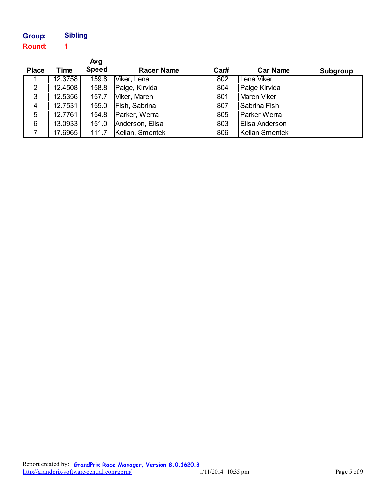| Group:        | <b>Sibling</b> |
|---------------|----------------|
| <b>Round:</b> |                |

|                         |         | Avg <sub>1</sub> |                   |      |                       |                 |
|-------------------------|---------|------------------|-------------------|------|-----------------------|-----------------|
| <b>Place</b>            | Time    | <b>Speed</b>     | <b>Racer Name</b> | Car# | <b>Car Name</b>       | <b>Subgroup</b> |
|                         | 12.3758 | 159.8            | Viker, Lena       | 802  | Lena Viker            |                 |
| $\overline{\mathbf{2}}$ | 12.4508 | 158.8            | Paige, Kirvida    | 804  | Paige Kirvida         |                 |
| $\overline{3}$          | 12.5356 | 157.7            | Viker, Maren      | 801  | <b>Maren Viker</b>    |                 |
| 4                       | 12.7531 | 155.0            | Fish, Sabrina     | 807  | Sabrina Fish          |                 |
| $\overline{5}$          | 12.7761 | 154.8            | Parker, Werra     | 805  | <b>Parker Werra</b>   |                 |
| 6                       | 13.0933 | 151.0            | Anderson, Elisa   | 803  | <b>Elisa Anderson</b> |                 |
|                         | 17.6965 | 111.7            | Kellan, Smentek   | 806  | <b>Kellan Smentek</b> |                 |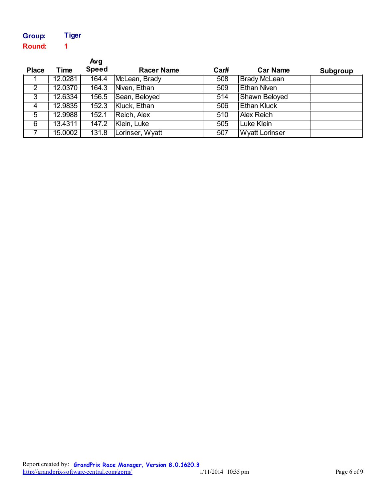| Group:        | <b>Tiger</b> |
|---------------|--------------|
| <b>Round:</b> |              |

|                 |         | Avg          |                   |      |                       |                 |
|-----------------|---------|--------------|-------------------|------|-----------------------|-----------------|
| <b>Place</b>    | Time    | <b>Speed</b> | <b>Racer Name</b> | Car# | <b>Car Name</b>       | <b>Subgroup</b> |
|                 | 12.0281 | 164.4        | McLean, Brady     | 508  | <b>Brady McLean</b>   |                 |
| $\overline{2}$  | 12.0370 | 164.3        | Niven, Ethan      | 509  | <b>Ethan Niven</b>    |                 |
| $\overline{3}$  | 12.6334 | 156.5        | Sean, Beloyed     | 514  | Shawn Beloyed         |                 |
| 4               | 12.9835 | 152.3        | Kluck, Ethan      | 506  | <b>Ethan Kluck</b>    |                 |
| $5\overline{)}$ | 12.9988 | 152.1        | Reich, Alex       | 510  | <b>Alex Reich</b>     |                 |
| 6               | 13.4311 | 147.2        | Klein, Luke       | 505  | Luke Klein            |                 |
|                 | 15.0002 | 131.8        | Lorinser, Wyatt   | 507  | <b>Wyatt Lorinser</b> |                 |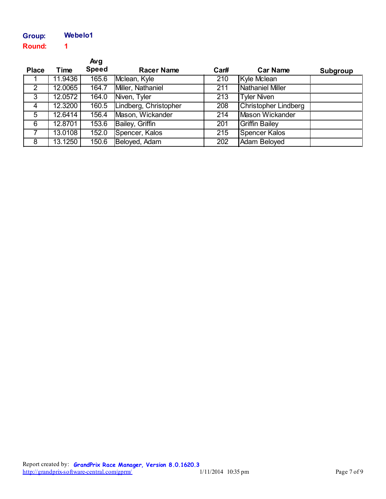| Group:        | Webelo1 |
|---------------|---------|
| <b>Round:</b> | 1       |

|                |         | Avg          |                       |                  |                             |          |
|----------------|---------|--------------|-----------------------|------------------|-----------------------------|----------|
| <b>Place</b>   | Time    | <b>Speed</b> | <b>Racer Name</b>     | Car#             | <b>Car Name</b>             | Subgroup |
|                | 11.9436 | 165.6        | Mclean, Kyle          | 210              | Kyle Mclean                 |          |
| $\overline{2}$ | 12.0065 | 164.7        | Miller, Nathaniel     | $\overline{211}$ | <b>Nathaniel Miller</b>     |          |
| $\overline{3}$ | 12.0572 | 164.0        | Niven, Tyler          | 213              | <b>Tyler Niven</b>          |          |
| 4              | 12.3200 | 160.5        | Lindberg, Christopher | 208              | <b>Christopher Lindberg</b> |          |
| 5              | 12.6414 | 156.4        | Mason, Wickander      | 214              | <b>Mason Wickander</b>      |          |
| 6              | 12.8701 | 153.6        | Bailey, Griffin       | 201              | <b>Griffin Bailey</b>       |          |
| 7              | 13.0108 | 152.0        | Spencer, Kalos        | $\overline{215}$ | <b>Spencer Kalos</b>        |          |
| 8              | 13.1250 | 150.6        | Beloyed, Adam         | 202              | <b>Adam Beloyed</b>         |          |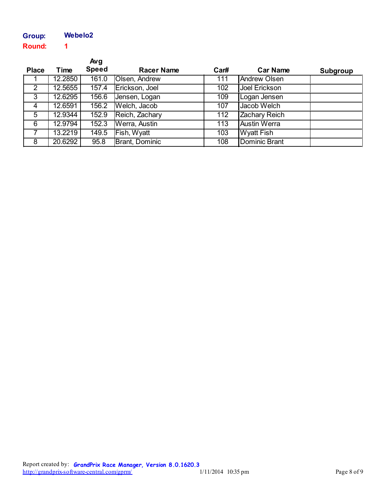## **Round: 1 Group: Webelo2**

|                |         | Avg          |                   |      |                      |          |
|----------------|---------|--------------|-------------------|------|----------------------|----------|
| <b>Place</b>   | Time    | <b>Speed</b> | <b>Racer Name</b> | Car# | <b>Car Name</b>      | Subgroup |
|                | 12.2850 | 161.0        | Olsen, Andrew     | 111  | <b>Andrew Olsen</b>  |          |
| $\overline{2}$ | 12.5655 | 157.4        | Erickson, Joel    | 102  | Joel Erickson        |          |
| $\overline{3}$ | 12.6295 | 156.6        | Jensen, Logan     | 109  | Logan Jensen         |          |
| $\overline{4}$ | 12.6591 | 156.2        | Welch, Jacob      | 107  | Jacob Welch          |          |
| $\overline{5}$ | 12.9344 | 152.9        | Reich, Zachary    | 112  | <b>Zachary Reich</b> |          |
| 6              | 12.9794 | 152.3        | Werra, Austin     | 113  | <b>Austin Werra</b>  |          |
| $\overline{7}$ | 13.2219 | 149.5        | Fish, Wyatt       | 103  | <b>Wyatt Fish</b>    |          |
| 8              | 20.6292 | 95.8         | Brant, Dominic    | 108  | Dominic Brant        |          |